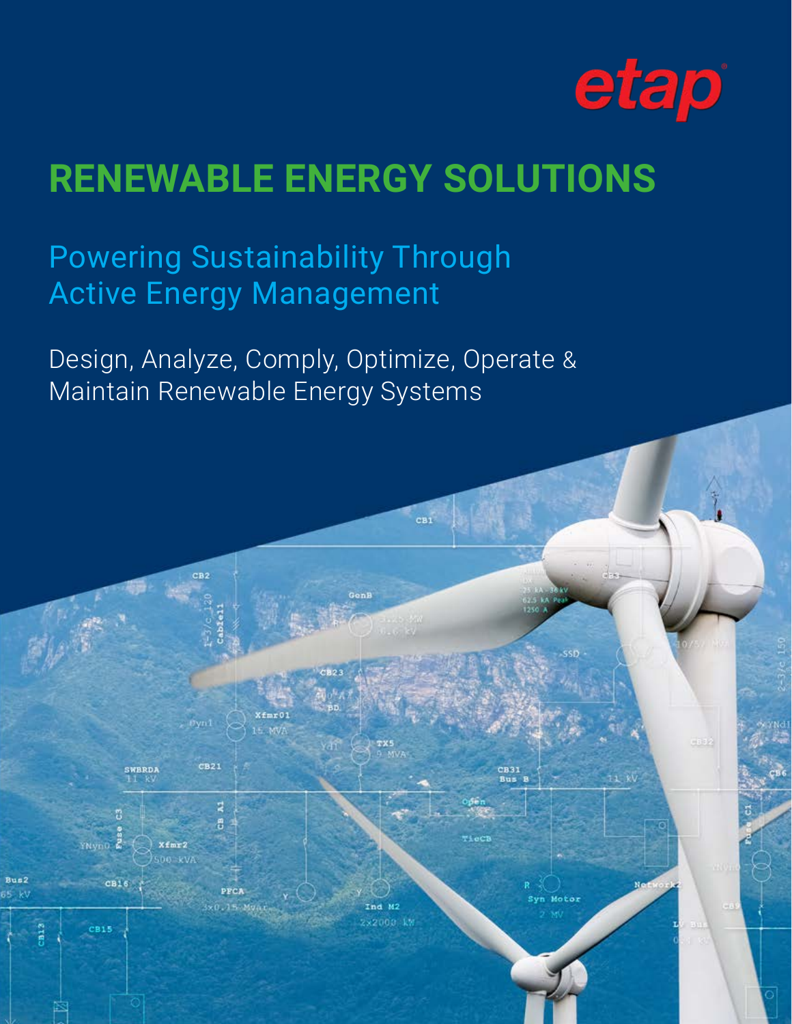

## **RENEWABLE ENERGY SOLUTIONS**

 $<sub>CB1</sub>$ </sub>

nd M2

Motor

Powering Sustainability Through Active Energy Management

E MV

 $CB21$ 

A

**SWBRDJ** 

CB15

Bus2

Design, Analyze, Comply, Optimize, Operate & Maintain Renewable Energy Systems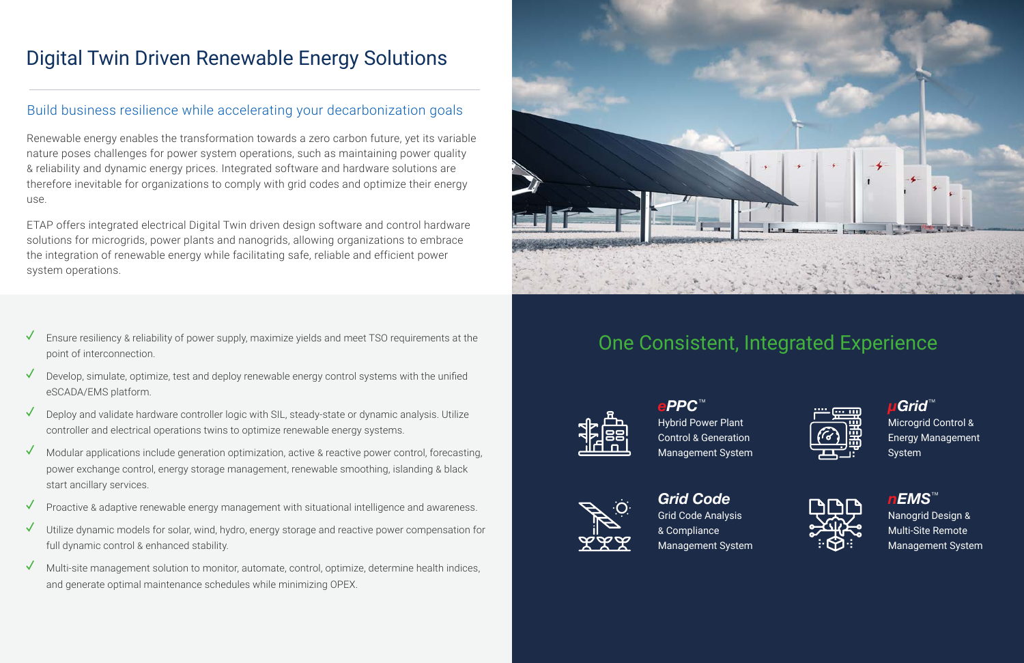

## One Consistent, Integrated Experience



*ePPC*™ Hybrid Power Plant Control & Generation Management System



*μGrid*™ Microgrid Control & Energy Management System



*Grid Code* Grid Code Analysis & Compliance Management System



*nEMS*™ Nanogrid Design & Multi-Site Remote Management System

## Digital Twin Driven Renewable Energy Solutions

## Build business resilience while accelerating your decarbonization goals

Renewable energy enables the transformation towards a zero carbon future, yet its variable nature poses challenges for power system operations, such as maintaining power quality & reliability and dynamic energy prices. Integrated software and hardware solutions are therefore inevitable for organizations to comply with grid codes and optimize their energy use.

ETAP offers integrated electrical Digital Twin driven design software and control hardware solutions for microgrids, power plants and nanogrids, allowing organizations to embrace the integration of renewable energy while facilitating safe, reliable and efficient power system operations.

- Ensure resiliency & reliability of power supply, maximize yields and meet TSO requirements at the point of interconnection.
- Develop, simulate, optimize, test and deploy renewable energy control systems with the unified eSCADA/EMS platform.
- **✓** Deploy and validate hardware controller logic with SIL, steady-state or dynamic analysis. Utilize controller and electrical operations twins to optimize renewable energy systems.
- **✓** Modular applications include generation optimization, active & reactive power control, forecasting, power exchange control, energy storage management, renewable smoothing, islanding & black start ancillary services.
- Proactive & adaptive renewable energy management with situational intelligence and awareness.
- **✓** Utilize dynamic models for solar, wind, hydro, energy storage and reactive power compensation for full dynamic control & enhanced stability.
- **✓** Multi-site management solution to monitor, automate, control, optimize, determine health indices, and generate optimal maintenance schedules while minimizing OPEX.